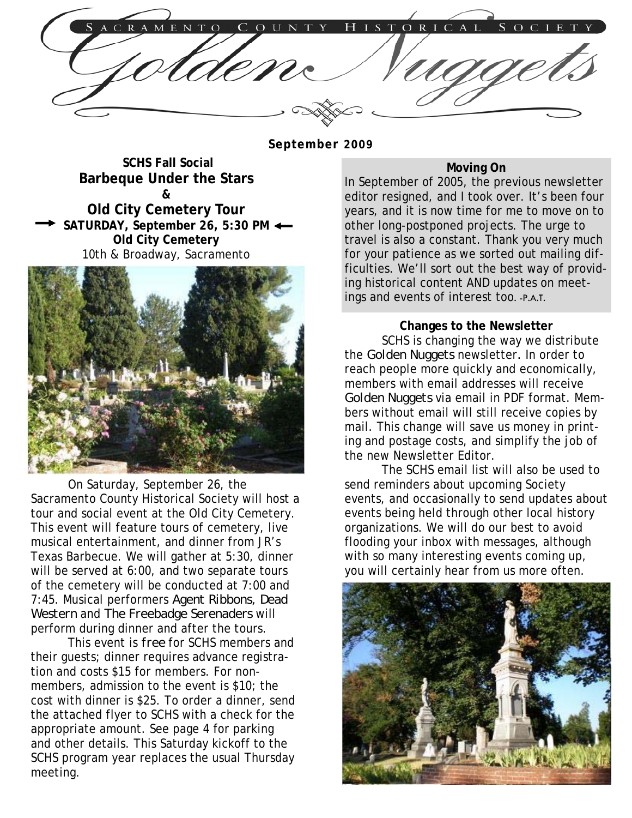C A I

**September 2009** 

**SCHS Fall Social Barbeque Under the Stars & Old City Cemetery Tour SATURDAY, September 26, 5:30 PM Old City Cemetery**  10th & Broadway, Sacramento



 On Saturday, September 26, the Sacramento County Historical Society will host a tour and social event at the Old City Cemetery. This event will feature tours of cemetery, live musical entertainment, and dinner from JR's Texas Barbecue. We will gather at 5:30, dinner will be served at 6:00, and two separate tours of the cemetery will be conducted at 7:00 and 7:45. Musical performers *Agent Ribbons, Dead Western* and *The Freebadge Serenaders* will perform during dinner and after the tours.

 This event is *free* for SCHS members and their guests; dinner requires advance registration and costs \$15 for members. For nonmembers, admission to the event is \$10; the cost with dinner is \$25. To order a dinner, send the attached flyer to SCHS with a check for the appropriate amount. See page 4 for parking and other details. This Saturday kickoff to the SCHS program year replaces the usual Thursday meeting.

# **Moving On**

In September of 2005, the previous newsletter editor resigned, and I took over. It's been four years, and it is now time for me to move on to other long-postponed projects. The urge to travel is also a constant. Thank you very much for your patience as we sorted out mailing difficulties. We'll sort out the best way of providing historical content AND updates on meetings and events of interest too. -P.A.T.

#### **Changes to the Newsletter**

 SCHS is changing the way we distribute the *Golden Nuggets* newsletter*.* In order to reach people more quickly and economically, members with email addresses will receive *Golden Nuggets* via email in PDF format. Members without email will still receive copies by mail. This change will save us money in printing and postage costs, and simplify the job of the new Newsletter Editor.

 The SCHS email list will also be used to send reminders about upcoming Society events, and occasionally to send updates about events being held through other local history organizations. We will do our best to avoid flooding your inbox with messages, although with so many interesting events coming up, you will certainly hear from us more often.

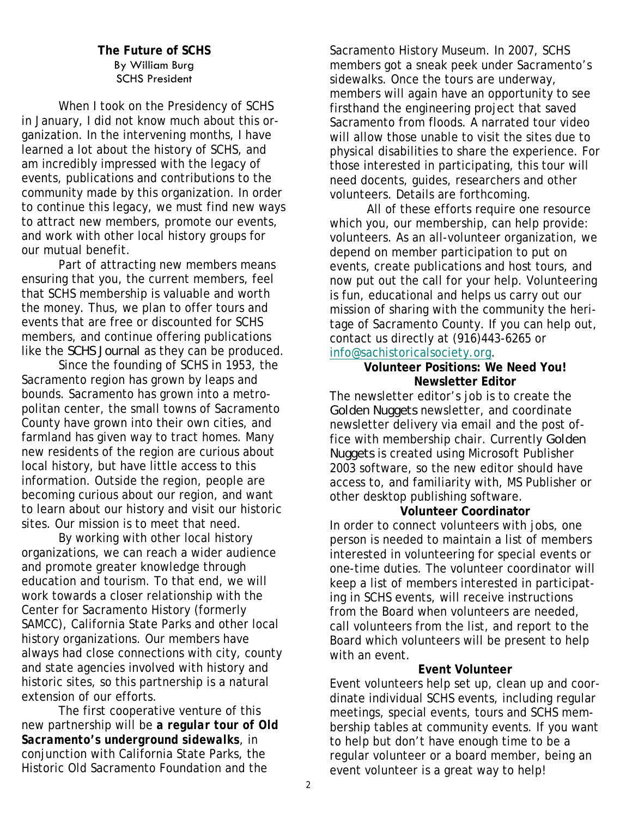### **The Future of SCHS** By William Burg SCHS President

 When I took on the Presidency of SCHS in January, I did not know much about this organization. In the intervening months, I have learned a lot about the history of SCHS, and am incredibly impressed with the legacy of events, publications and contributions to the community made by this organization. In order to continue this legacy, we must find new ways to attract new members, promote our events, and work with other local history groups for our mutual benefit.

 Part of attracting new members means ensuring that you, the current members, feel that SCHS membership is valuable and worth the money. Thus, we plan to offer tours and events that are free or discounted for SCHS members, and continue offering publications like the *SCHS Journal* as they can be produced.

 Since the founding of SCHS in 1953, the Sacramento region has grown by leaps and bounds. Sacramento has grown into a metropolitan center, the small towns of Sacramento County have grown into their own cities, and farmland has given way to tract homes. Many new residents of the region are curious about local history, but have little access to this information. Outside the region, people are becoming curious about our region, and want to learn about our history and visit our historic sites. Our mission is to meet that need.

 By working with other local history organizations, we can reach a wider audience and promote greater knowledge through education and tourism. To that end, we will work towards a closer relationship with the Center for Sacramento History (formerly SAMCC), California State Parks and other local history organizations. Our members have always had close connections with city, county and state agencies involved with history and historic sites, so this partnership is a natural extension of our efforts.

 The first cooperative venture of this new partnership will be *a regular tour of Old Sacramento's underground sidewalks*, in conjunction with California State Parks, the Historic Old Sacramento Foundation and the

Sacramento History Museum. In 2007, SCHS members got a sneak peek under Sacramento's sidewalks. Once the tours are underway, members will again have an opportunity to see firsthand the engineering project that saved Sacramento from floods. A narrated tour video will allow those unable to visit the sites due to physical disabilities to share the experience. For those interested in participating, this tour will need docents, guides, researchers and other volunteers. Details are forthcoming.

 All of these efforts require one resource which you, our membership, can help provide: volunteers. As an all-volunteer organization, we depend on member participation to put on events, create publications and host tours, and now put out the call for your help. Volunteering is fun, educational and helps us carry out our mission of sharing with the community the heritage of Sacramento County. If you can help out, contact us directly at (916)443-6265 or [info@sachistoricalsociety.org](mailto:info@sachistoricalsociety.org).

#### **Volunteer Positions: We Need You! Newsletter Editor**

The newsletter editor's job is to create the *Golden Nuggets* newsletter, and coordinate newsletter delivery via email and the post office with membership chair. Currently *Golden Nuggets* is created using Microsoft Publisher 2003 software, so the new editor should have access to, and familiarity with, MS Publisher or other desktop publishing software.

#### **Volunteer Coordinator**

In order to connect volunteers with jobs, one person is needed to maintain a list of members interested in volunteering for special events or one-time duties. The volunteer coordinator will keep a list of members interested in participating in SCHS events, will receive instructions from the Board when volunteers are needed, call volunteers from the list, and report to the Board which volunteers will be present to help with an event.

# **Event Volunteer**

Event volunteers help set up, clean up and coordinate individual SCHS events, including regular meetings, special events, tours and SCHS membership tables at community events. If you want to help but don't have enough time to be a regular volunteer or a board member, being an event volunteer is a great way to help!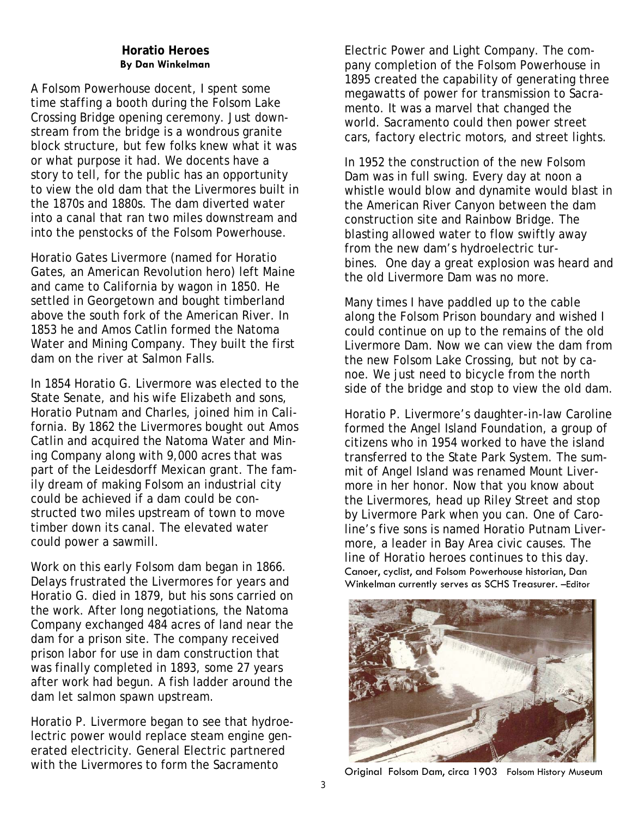### **Horatio Heroes By Dan Winkelman**

A Folsom Powerhouse docent, I spent some time staffing a booth during the Folsom Lake Crossing Bridge opening ceremony. Just downstream from the bridge is a wondrous granite block structure, but few folks knew what it was or what purpose it had. We docents have a story to tell, for the public has an opportunity to view the old dam that the Livermores built in the 1870s and 1880s. The dam diverted water into a canal that ran two miles downstream and into the penstocks of the Folsom Powerhouse.

Horatio Gates Livermore (named for Horatio Gates, an American Revolution hero) left Maine and came to California by wagon in 1850. He settled in Georgetown and bought timberland above the south fork of the American River. In 1853 he and Amos Catlin formed the Natoma Water and Mining Company. They built the first dam on the river at Salmon Falls.

In 1854 Horatio G. Livermore was elected to the State Senate, and his wife Elizabeth and sons, Horatio Putnam and Charles, joined him in California. By 1862 the Livermores bought out Amos Catlin and acquired the Natoma Water and Mining Company along with 9,000 acres that was part of the Leidesdorff Mexican grant. The family dream of making Folsom an industrial city could be achieved if a dam could be constructed two miles upstream of town to move timber down its canal. The elevated water could power a sawmill.

Work on this early Folsom dam began in 1866. Delays frustrated the Livermores for years and Horatio G. died in 1879, but his sons carried on the work. After long negotiations, the Natoma Company exchanged 484 acres of land near the dam for a prison site. The company received prison labor for use in dam construction that was finally completed in 1893, some 27 years after work had begun. A fish ladder around the dam let salmon spawn upstream.

Horatio P. Livermore began to see that hydroelectric power would replace steam engine generated electricity. General Electric partnered with the Livermores to form the Sacramento<br>
Original Folsom Dam, circa 1903 Folsom History Museum

Electric Power and Light Company. The company completion of the Folsom Powerhouse in 1895 created the capability of generating three megawatts of power for transmission to Sacramento. It was a marvel that changed the world. Sacramento could then power street cars, factory electric motors, and street lights.

In 1952 the construction of the new Folsom Dam was in full swing. Every day at noon a whistle would blow and dynamite would blast in the American River Canyon between the dam construction site and Rainbow Bridge. The blasting allowed water to flow swiftly away from the new dam's hydroelectric turbines. One day a great explosion was heard and the old Livermore Dam was no more.

Many times I have paddled up to the cable along the Folsom Prison boundary and wished I could continue on up to the remains of the old Livermore Dam. Now we can view the dam from the new Folsom Lake Crossing, but not by canoe. We just need to bicycle from the north side of the bridge and stop to view the old dam.

Horatio P. Livermore's daughter-in-law Caroline formed the Angel Island Foundation, a group of citizens who in 1954 worked to have the island transferred to the State Park System. The summit of Angel Island was renamed Mount Livermore in her honor. Now that you know about the Livermores, head up Riley Street and stop by Livermore Park when you can. One of Caroline's five sons is named Horatio Putnam Livermore, a leader in Bay Area civic causes. The line of Horatio heroes continues to this day. Canoer, cyclist, and Folsom Powerhouse historian, Dan Winkelman currently serves as SCHS Treasurer. –Editor